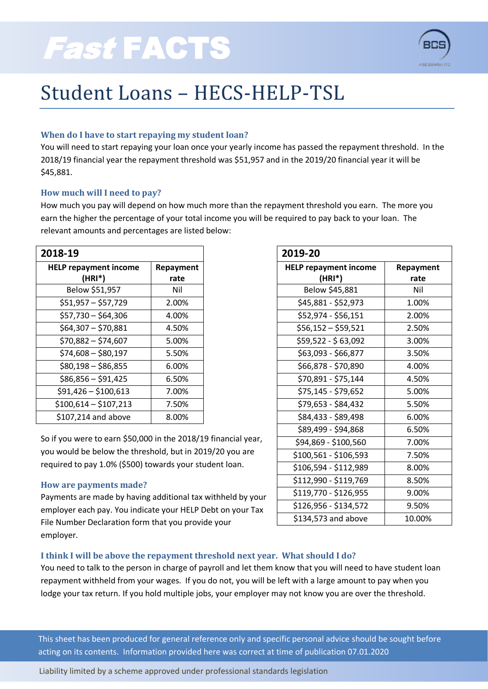

## Student Loans – HECS-HELP-TSL

## **When do I have to start repaying my student loan?**

You will need to start repaying your loan once your yearly income has passed the repayment threshold. In the 2018/19 financial year the repayment threshold was \$51,957 and in the 2019/20 financial year it will be \$45,881.

### **How much will I need to pay?**

How much you pay will depend on how much more than the repayment threshold you earn. The more you earn the higher the percentage of your total income you will be required to pay back to your loan. The relevant amounts and percentages are listed below:

| 2018-19                      |                  |
|------------------------------|------------------|
| <b>HELP repayment income</b> | <b>Repayment</b> |
| (HRI*)                       | rate             |
| Below \$51,957               | Nil              |
| $$51,957 - $57,729$          | 2.00%            |
| $$57,730 - $64,306$          | 4.00%            |
| $$64,307 - $70,881$          | 4.50%            |
| $$70,882 - $74,607$          | 5.00%            |
| \$74,608 - \$80,197          | 5.50%            |
| $$80,198 - $86,855$          | 6.00%            |
| $$86,856 - $91,425$          | 6.50%            |
| $$91,426 - $100,613$         | 7.00%            |
| $$100,614 - $107,213$        | 7.50%            |
| \$107,214 and above          | 8.00%            |

So if you were to earn \$50,000 in the 2018/19 financial year, you would be below the threshold, but in 2019/20 you are required to pay 1.0% (\$500) towards your student loan.

### **How are payments made?**

Payments are made by having additional tax withheld by your employer each pay. You indicate your HELP Debt on your Tax File Number Declaration form that you provide your employer.

| 2019-20                      |           |
|------------------------------|-----------|
| <b>HELP repayment income</b> | Repayment |
| $(HRI^*)$                    | rate      |
| Below \$45,881               | Nil       |
| \$45,881 - \$52,973          | 1.00%     |
| \$52,974 - \$56,151          | 2.00%     |
| \$56,152 – \$59,521          | 2.50%     |
| \$59,522 - \$ 63,092         | 3.00%     |
| \$63,093 - \$66,877          | 3.50%     |
| \$66,878 - \$70,890          | 4.00%     |
| \$70,891 - \$75,144          | 4.50%     |
| \$75,145 - \$79,652          | 5.00%     |
| \$79,653 - \$84,432          | 5.50%     |
| \$84,433 - \$89,498          | 6.00%     |
| \$89,499 - \$94,868          | 6.50%     |
| \$94,869 - \$100,560         | 7.00%     |
| \$100,561 - \$106,593        | 7.50%     |
| \$106,594 - \$112,989        | 8.00%     |
| \$112,990 - \$119,769        | 8.50%     |
| \$119,770 - \$126,955        | 9.00%     |
| \$126,956 - \$134,572        | 9.50%     |
| \$134,573 and above          | 10.00%    |

## **I think I will be above the repayment threshold next year. What should I do?**

You need to talk to the person in charge of payroll and let them know that you will need to have student loan repayment withheld from your wages. If you do not, you will be left with a large amount to pay when you lodge your tax return. If you hold multiple jobs, your employer may not know you are over the threshold.

This sheet has been produced for general reference only and specific personal advice should be sought before acting on its contents. Information provided here was correct at time of publication 07.01.2020

Liability limited by a scheme approved under professional standards legislation